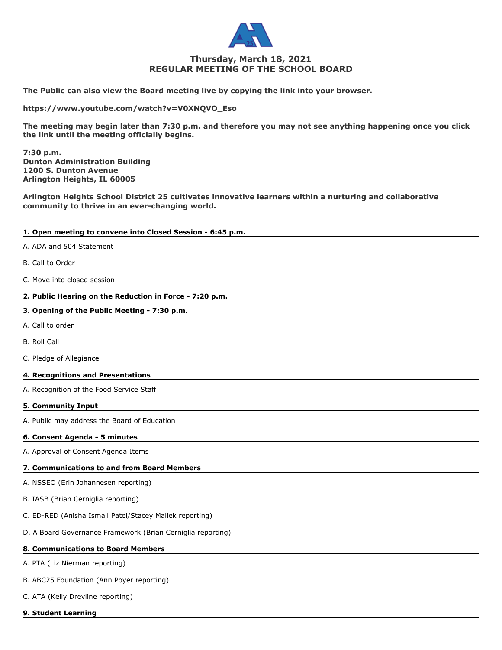

# **Thursday, March 18, 2021 REGULAR MEETING OF THE SCHOOL BOARD**

**The Public can also view the Board meeting live by copying the link into your browser.** 

**https://www.youtube.com/watch?v=V0XNQVO\_Eso**

**The meeting may begin later than 7:30 p.m. and therefore you may not see anything happening once you click the link until the meeting officially begins.**

**7:30 p.m. Dunton Administration Building 1200 S. Dunton Avenue Arlington Heights, IL 60005**

**Arlington Heights School District 25 cultivates innovative learners within a nurturing and collaborative community to thrive in an ever-changing world.**

### **1. Open meeting to convene into Closed Session - 6:45 p.m.**

- A. ADA and 504 Statement
- B. Call to Order
- C. Move into closed session

### **2. Public Hearing on the Reduction in Force - 7:20 p.m.**

- **3. Opening of the Public Meeting 7:30 p.m.**
- A. Call to order
- B. Roll Call
- C. Pledge of Allegiance

### **4. Recognitions and Presentations**

A. Recognition of the Food Service Staff

#### **5. Community Input**

A. Public may address the Board of Education

### **6. Consent Agenda - 5 minutes**

A. Approval of Consent Agenda Items

### **7. Communications to and from Board Members**

- A. NSSEO (Erin Johannesen reporting)
- B. IASB (Brian Cerniglia reporting)
- C. ED-RED (Anisha Ismail Patel/Stacey Mallek reporting)
- D. A Board Governance Framework (Brian Cerniglia reporting)

### **8. Communications to Board Members**

- A. PTA (Liz Nierman reporting)
- B. ABC25 Foundation (Ann Poyer reporting)
- C. ATA (Kelly Drevline reporting)
- **9. Student Learning**